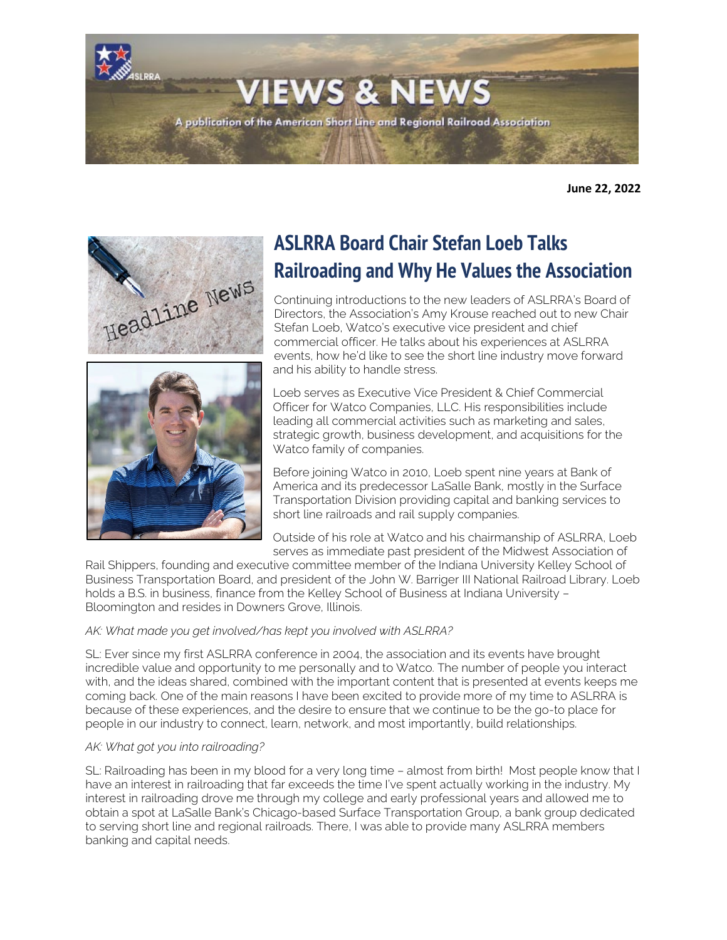**VIEWS & NEWS** A publication of the American Short Line and Regional Railroad Association

**June 22, 2022**





# **ASLRRA Board Chair Stefan Loeb Talks Railroading and Why He Values the Association**

Continuing introductions to the new leaders of ASLRRA's Board of Directors, the Association's Amy Krouse reached out to new Chair Stefan Loeb, Watco's executive vice president and chief commercial officer. He talks about his experiences at ASLRRA events, how he'd like to see the short line industry move forward and his ability to handle stress.

Loeb serves as Executive Vice President & Chief Commercial Officer for Watco Companies, LLC. His responsibilities include leading all commercial activities such as marketing and sales, strategic growth, business development, and acquisitions for the Watco family of companies.

Before joining Watco in 2010, Loeb spent nine years at Bank of America and its predecessor LaSalle Bank, mostly in the Surface Transportation Division providing capital and banking services to short line railroads and rail supply companies.

Outside of his role at Watco and his chairmanship of ASLRRA, Loeb serves as immediate past president of the Midwest Association of

Rail Shippers, founding and executive committee member of the Indiana University Kelley School of Business Transportation Board, and president of the John W. Barriger III National Railroad Library. Loeb holds a B.S. in business, finance from the Kelley School of Business at Indiana University -Bloomington and resides in Downers Grove, Illinois.

# *AK: What made you get involved/has kept you involved with ASLRRA?*

SL: Ever since my first ASLRRA conference in 2004, the association and its events have brought incredible value and opportunity to me personally and to Watco. The number of people you interact with, and the ideas shared, combined with the important content that is presented at events keeps me coming back. One of the main reasons I have been excited to provide more of my time to ASLRRA is because of these experiences, and the desire to ensure that we continue to be the go-to place for people in our industry to connect, learn, network, and most importantly, build relationships.

### *AK: What got you into railroading?*

SL: Railroading has been in my blood for a very long time – almost from birth! Most people know that I have an interest in railroading that far exceeds the time I've spent actually working in the industry. My interest in railroading drove me through my college and early professional years and allowed me to obtain a spot at LaSalle Bank's Chicago-based Surface Transportation Group, a bank group dedicated to serving short line and regional railroads. There, I was able to provide many ASLRRA members banking and capital needs.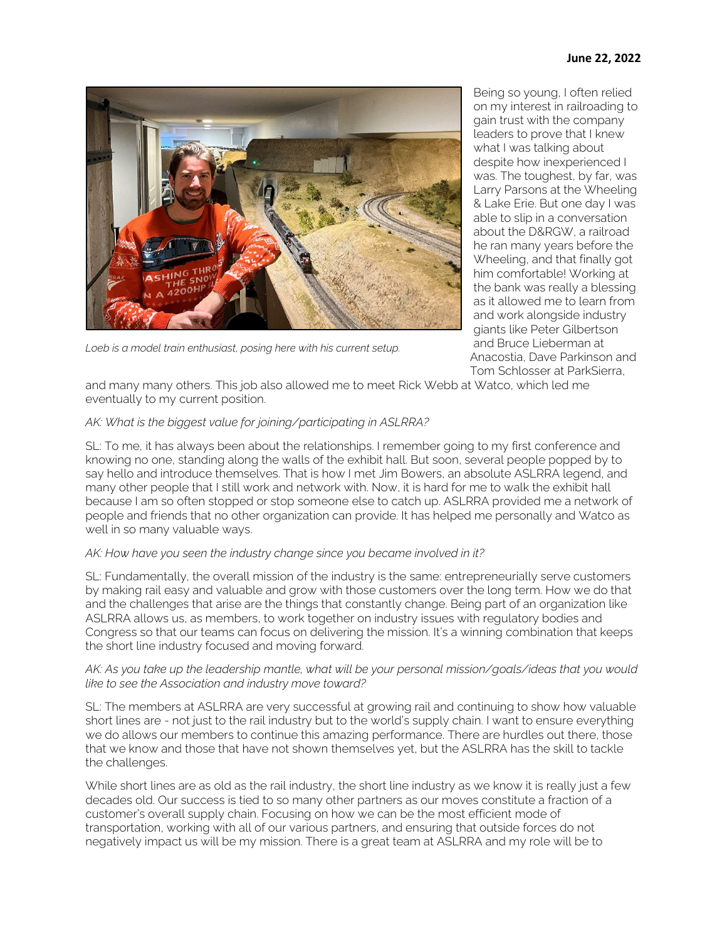

Loeb is a model train enthusiast, posing here with his current setup.

Being so young, I often relied on my interest in railroading to gain trust with the company leaders to prove that I knew what I was talking about despite how inexperienced I was. The toughest, by far, was Larry Parsons at the Wheeling & Lake Erie. But one day I was able to slip in a conversation about the D&RGW, a railroad he ran many years before the Wheeling, and that finally got him comfortable! Working at the bank was really a blessing as it allowed me to learn from and work alongside industry giants like Peter Gilbertson and Bruce Lieberman at Anacostia, Dave Parkinson and Tom Schlosser at ParkSierra,

and many many others. This job also allowed me to meet Rick Webb at Watco, which led me eventually to my current position.

### *AK: What is the biggest value for joining/participating in ASLRRA?*

SL: To me, it has always been about the relationships. I remember going to my first conference and knowing no one, standing along the walls of the exhibit hall. But soon, several people popped by to say hello and introduce themselves. That is how I met Jim Bowers, an absolute ASLRRA legend, and many other people that I still work and network with. Now, it is hard for me to walk the exhibit hall because I am so often stopped or stop someone else to catch up. ASLRRA provided me a network of people and friends that no other organization can provide. It has helped me personally and Watco as well in so many valuable ways.

#### *AK: How have you seen the industry change since you became involved in it?*

SL: Fundamentally, the overall mission of the industry is the same: entrepreneurially serve customers by making rail easy and valuable and grow with those customers over the long term. How we do that and the challenges that arise are the things that constantly change. Being part of an organization like ASLRRA allows us, as members, to work together on industry issues with regulatory bodies and Congress so that our teams can focus on delivering the mission. It's a winning combination that keeps the short line industry focused and moving forward.

### *AK: As you take up the leadership mantle, what will be your personal mission/goals/ideas that you would like to see the Association and industry move toward?*

SL: The members at ASLRRA are very successful at growing rail and continuing to show how valuable short lines are - not just to the rail industry but to the world's supply chain. I want to ensure everything we do allows our members to continue this amazing performance. There are hurdles out there, those that we know and those that have not shown themselves yet, but the ASLRRA has the skill to tackle the challenges.

While short lines are as old as the rail industry, the short line industry as we know it is really just a few decades old. Our success is tied to so many other partners as our moves constitute a fraction of a customer's overall supply chain. Focusing on how we can be the most efficient mode of transportation, working with all of our various partners, and ensuring that outside forces do not negatively impact us will be my mission. There is a great team at ASLRRA and my role will be to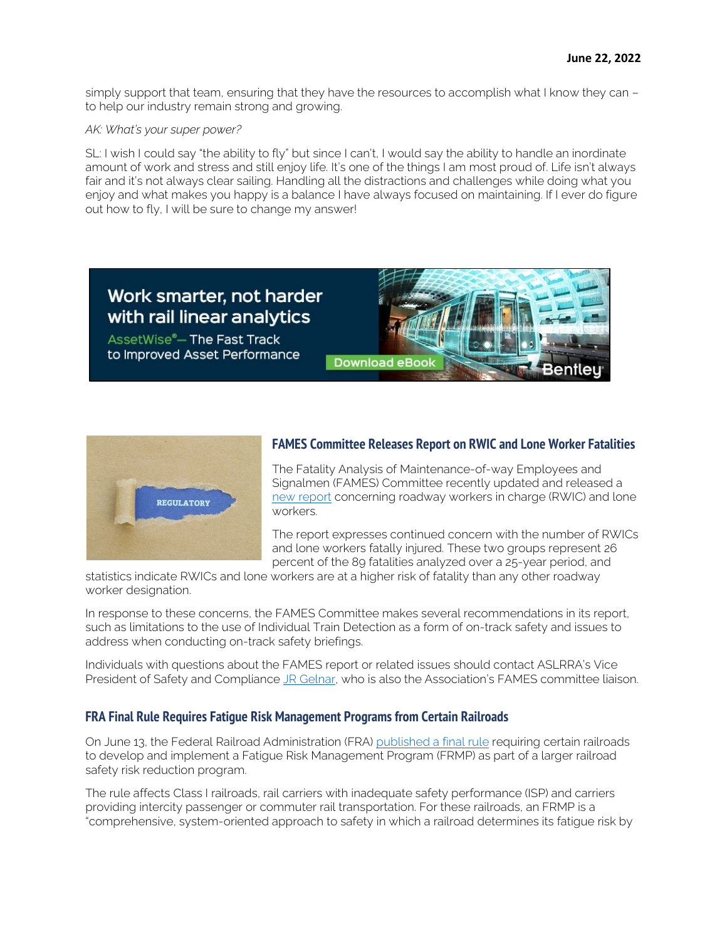simply support that team, ensuring that they have the resources to accomplish what I know they can – to help our industry remain strong and growing.

#### *AK: What's your super power?*

SL: I wish I could say "the ability to fly" but since I can't, I would say the ability to handle an inordinate amount of work and stress and still enjoy life. It's one of the things I am most proud of. Life isn't always fair and it's not always clear sailing. Handling all the distractions and challenges while doing what you enjoy and what makes you happy is a balance I have always focused on maintaining. If I ever do figure out how to fly, I will be sure to change my answer!



AssetWise<sup>®</sup>-The Fast Track to Improved Asset Performance





### **FAMES Committee Releases Report on RWIC and Lone Worker Fatalities**

The Fatality Analysis of Maintenance-of-way Employees and Signalmen (FAMES) Committee recently updated and released a [new report](https://railroads.dot.gov/sites/fra.dot.gov/files/2022-06/FAMES_RWIC_Lone%20Worker%206-2-22.pdf) concerning roadway workers in charge (RWIC) and lone workers.

The report expresses continued concern with the number of RWICs and lone workers fatally injured. These two groups represent 26 percent of the 89 fatalities analyzed over a 25-year period, and

statistics indicate RWICs and lone workers are at a higher risk of fatality than any other roadway worker designation.

In response to these concerns, the FAMES Committee makes several recommendations in its report, such as limitations to the use of Individual Train Detection as a form of on-track safety and issues to address when conducting on-track safety briefings.

Individuals with questions about the FAMES report or related issues should contact ASLRRA's Vice President of Safety and Complianc[e JR Gelnar,](mailto:jrgelnar@aslrra.org?subject=FAMES%20Report) who is also the Association's FAMES committee liaison.

### **FRA Final Rule Requires Fatigue Risk Management Programs from Certain Railroads**

On June 13, the Federal Railroad Administration (FRA) [published a final rule](https://www.federalregister.gov/documents/2022/06/13/2022-12614/fatigue-risk-management-programs-for-certain-passenger-and-freight-railroads) requiring certain railroads to develop and implement a Fatigue Risk Management Program (FRMP) as part of a larger railroad safety risk reduction program.

The rule affects Class I railroads, rail carriers with inadequate safety performance (ISP) and carriers providing intercity passenger or commuter rail transportation. For these railroads, an FRMP is a "comprehensive, system-oriented approach to safety in which a railroad determines its fatigue risk by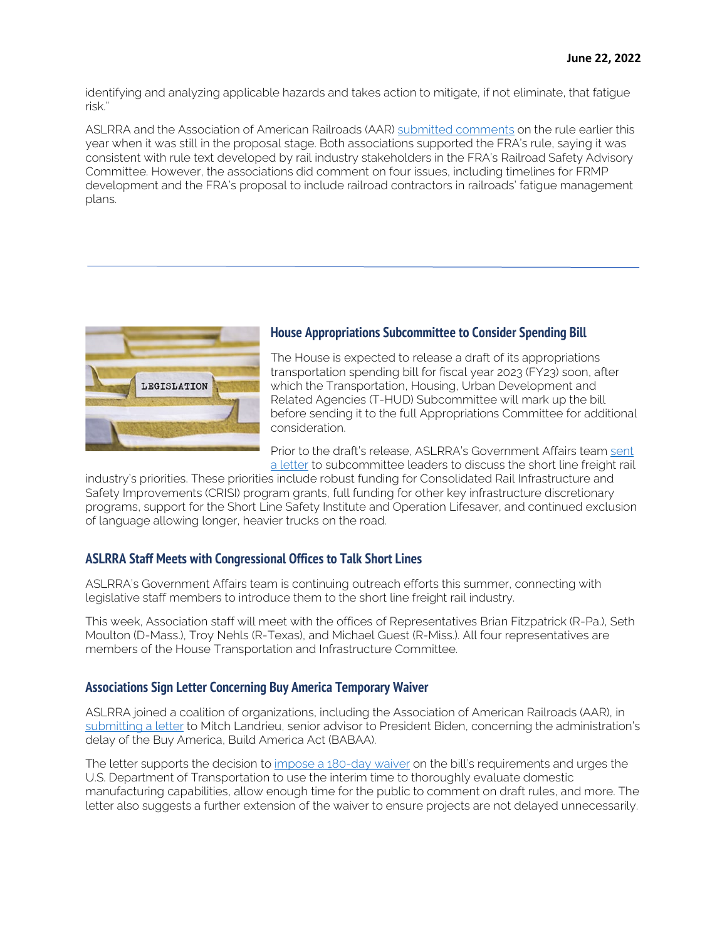identifying and analyzing applicable hazards and takes action to mitigate, if not eliminate, that fatigue risk."

ASLRRA and the Association of American Railroads (AAR) [submitted comments](https://www.aslrra.org/aslrra/document-server/?cfp=aslrra/assets/File/public/news/2022/AAR_ASLRRA_Comment_FRA_FRMP_NPRM.pdf) on the rule earlier this year when it was still in the proposal stage. Both associations supported the FRA's rule, saying it was consistent with rule text developed by rail industry stakeholders in the FRA's Railroad Safety Advisory Committee. However, the associations did comment on four issues, including timelines for FRMP development and the FRA's proposal to include railroad contractors in railroads' fatigue management plans.



# **House Appropriations Subcommittee to Consider Spending Bill**

The House is expected to release a draft of its appropriations transportation spending bill for fiscal year 2023 (FY23) soon, after which the Transportation, Housing, Urban Development and Related Agencies (T-HUD) Subcommittee will mark up the bill before sending it to the full Appropriations Committee for additional consideration.

Prior to the draft's release, ASLRRA's Government Affairs team [sent](https://www.aslrra.org/aslrra/document-server/?cfp=aslrra/assets/File/public/news/2022/2022_06_16_ASLRRA_Ltr_to_House_THUD.pdf)  [a letter](https://www.aslrra.org/aslrra/document-server/?cfp=aslrra/assets/File/public/news/2022/2022_06_16_ASLRRA_Ltr_to_House_THUD.pdf) to subcommittee leaders to discuss the short line freight rail

industry's priorities. These priorities include robust funding for Consolidated Rail Infrastructure and Safety Improvements (CRISI) program grants, full funding for other key infrastructure discretionary programs, support for the Short Line Safety Institute and Operation Lifesaver, and continued exclusion of language allowing longer, heavier trucks on the road.

# **ASLRRA Staff Meets with Congressional Offices to Talk Short Lines**

ASLRRA's Government Affairs team is continuing outreach efforts this summer, connecting with legislative staff members to introduce them to the short line freight rail industry.

This week, Association staff will meet with the offices of Representatives Brian Fitzpatrick (R-Pa.), Seth Moulton (D-Mass.), Troy Nehls (R-Texas), and Michael Guest (R-Miss.). All four representatives are members of the House Transportation and Infrastructure Committee.

### **Associations Sign Letter Concerning Buy America Temporary Waiver**

ASLRRA joined a coalition of organizations, including the Association of American Railroads (AAR), in [submitting a letter](https://www.aslrra.org/aslrra/document-server/?cfp=aslrra/assets/File/public/news/2022/BABAA_Coalition_Letter.pdf) to Mitch Landrieu, senior advisor to President Biden, concerning the administration's delay of the Buy America, Build America Act (BABAA).

The letter supports the decision to [impose a 180-day waiver](https://www.transportation.gov/sites/dot.gov/files/2022-05/Temporary%20Waiver%20of%20Buy%20America%20Requirements%20for%20Construction%20Materials.pdf) on the bill's requirements and urges the U.S. Department of Transportation to use the interim time to thoroughly evaluate domestic manufacturing capabilities, allow enough time for the public to comment on draft rules, and more. The letter also suggests a further extension of the waiver to ensure projects are not delayed unnecessarily.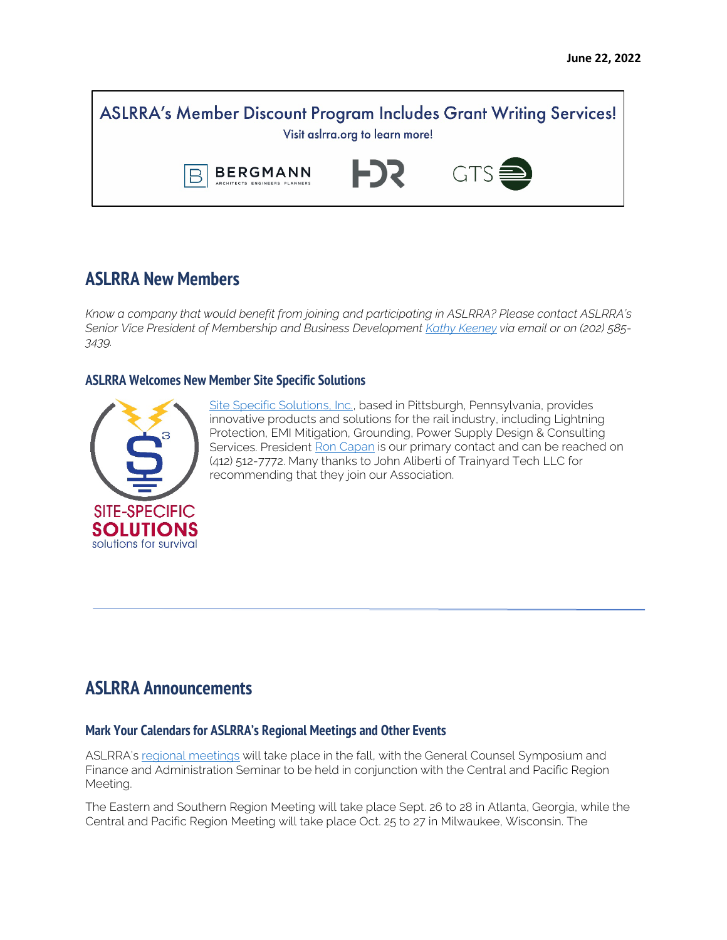**ASLRRA's Member Discount Program Includes Grant Writing Services!** Visit aslrra.org to learn more! FJR 1 **GTS BERGMANN** 

# **ASLRRA New Members**

*Know a company that would benefit from joining and participating in ASLRRA? Please contact ASLRRA's Senior Vice President of Membership and Business Developmen[t Kathy Keeney](mailto:kkeeney@aslrra.org?subject=Membership) via email or on (202) 585- 3439.*

### **ASLRRA Welcomes New Member Site Specific Solutions**



[Site Specific Solutions, Inc.,](http://www.sitespecificsolutions.com/) based in Pittsburgh, Pennsylvania, provides innovative products and solutions for the rail industry, including Lightning Protection, EMI Mitigation, Grounding, Power Supply Design & Consulting Services. President [Ron Capan](mailto:rrcapan@sitespecificsolutions.com?subject=ASLRRA) is our primary contact and can be reached on (412) 512-7772. Many thanks to John Aliberti of Trainyard Tech LLC for recommending that they join our Association.

# **ASLRRA Announcements**

### **Mark Your Calendars for ASLRRA's Regional Meetings and Other Events**

ASLRRA's [regional meetings](https://www.aslrra.org/events/regional-meetings/) will take place in the fall, with the General Counsel Symposium and Finance and Administration Seminar to be held in conjunction with the Central and Pacific Region Meeting.

The Eastern and Southern Region Meeting will take place Sept. 26 to 28 in Atlanta, Georgia, while the Central and Pacific Region Meeting will take place Oct. 25 to 27 in Milwaukee, Wisconsin. The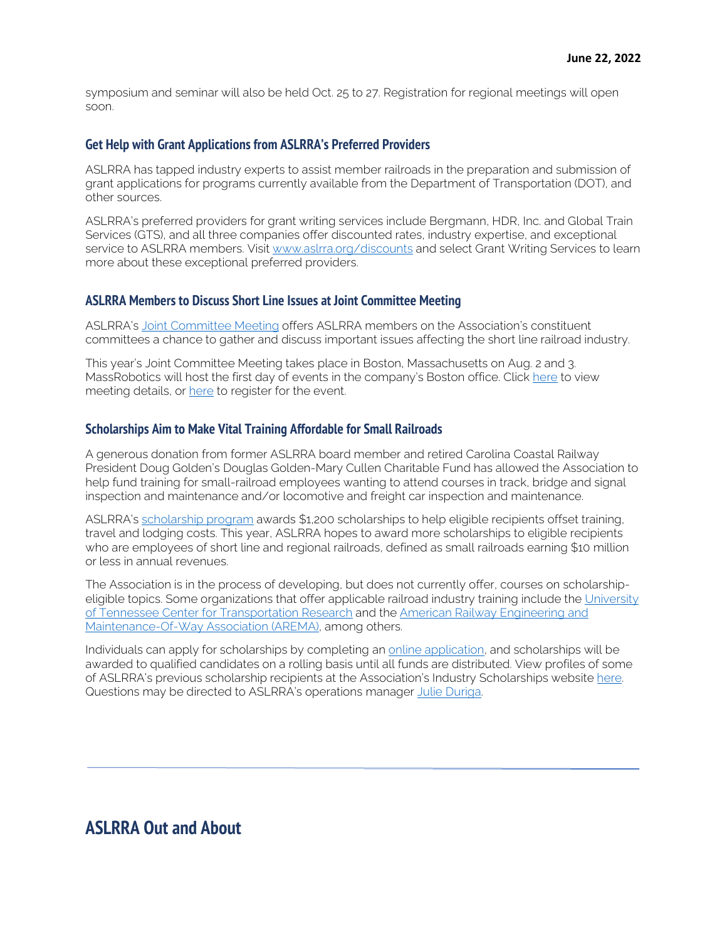symposium and seminar will also be held Oct. 25 to 27. Registration for regional meetings will open soon.

#### **Get Help with Grant Applications from ASLRRA's Preferred Providers**

ASLRRA has tapped industry experts to assist member railroads in the preparation and submission of grant applications for programs currently available from the Department of Transportation (DOT), and other sources.

ASLRRA's preferred providers for grant writing services include Bergmann, HDR, Inc. and Global Train Services (GTS), and all three companies offer discounted rates, industry expertise, and exceptional service to ASLRRA members. Visit [www.aslrra.org/discounts](http://www.aslrra.org/discounts) and select Grant Writing Services to learn more about these exceptional preferred providers.

### **ASLRRA Members to Discuss Short Line Issues at Joint Committee Meeting**

ASLRRA's [Joint Committee Meeting](https://www.aslrra.org/events/joint-committee-meeting/) offers ASLRRA members on the Association's constituent committees a chance to gather and discuss important issues affecting the short line railroad industry.

This year's Joint Committee Meeting takes place in Boston, Massachusetts on Aug. 2 and 3. MassRobotics will host the first day of events in the company's Boston office. Click [here](https://www.aslrra.org/aslrra/document-server/?cfp=aslrra/assets/File/public/events/2022-Joint-Committee-Meeting.pdf) to view meeting details, or [here](https://aslrra.force.com/s/login/?ec=302&inst=4W&startURL=%2Fidp%2Flogin%3Fapp%3D0sp4W000000wkde%26RelayState%3DaHR0cHM6Ly93d3cuYXNscnJhLm9yZy9ldmVudHMvam9pbnQtY29tbWl0dGVlLW1lZXRpbmcvcmVnaXN0ZXItbm93Lw%253D%253D%26binding%3DHttpPost%26inresponseto%3DASLRRA) to register for the event.

#### **Scholarships Aim to Make Vital Training Affordable for Small Railroads**

A generous donation from former ASLRRA board member and retired Carolina Coastal Railway President Doug Golden's Douglas Golden-Mary Cullen Charitable Fund has allowed the Association to help fund training for small-railroad employees wanting to attend courses in track, bridge and signal inspection and maintenance and/or locomotive and freight car inspection and maintenance.

ASLRRA's [scholarship program](https://www.aslrra.org/education/education-fund/industry-scholarships/) awards \$1,200 scholarships to help eligible recipients offset training, travel and lodging costs. This year, ASLRRA hopes to award more scholarships to eligible recipients who are employees of short line and regional railroads, defined as small railroads earning \$10 million or less in annual revenues.

The Association is in the process of developing, but does not currently offer, courses on scholarshipeligible topics. Some organizations that offer applicable railroad industry training include the University [of Tennessee Center for Transportation Research](https://ctr.utk.edu/rail-courses/) and the [American Railway Engineering and](https://www.arema.org/AREMA_MBRR/Education_and_Events/AREMA_MBRR/Events/Education_and_Events.aspx?hkey=41dfbec6-df37-4d0a-a1c1-dd0b6454382c)  [Maintenance-Of-Way Association \(AREMA\),](https://www.arema.org/AREMA_MBRR/Education_and_Events/AREMA_MBRR/Events/Education_and_Events.aspx?hkey=41dfbec6-df37-4d0a-a1c1-dd0b6454382c) among others.

Individuals can apply for scholarships by completing an [online application,](https://form.jotform.com/212225652926152) and scholarships will be awarded to qualified candidates on a rolling basis until all funds are distributed. View profiles of some of ASLRRA's previous scholarship recipients at the Association's Industry Scholarships website here. Questions may be directed to ASLRRA's operations manage[r Julie Duriga.](mailto:jduriga@aslrra.org?subject=Doug%20Golden%20Scholarships) 

# **ASLRRA Out and About**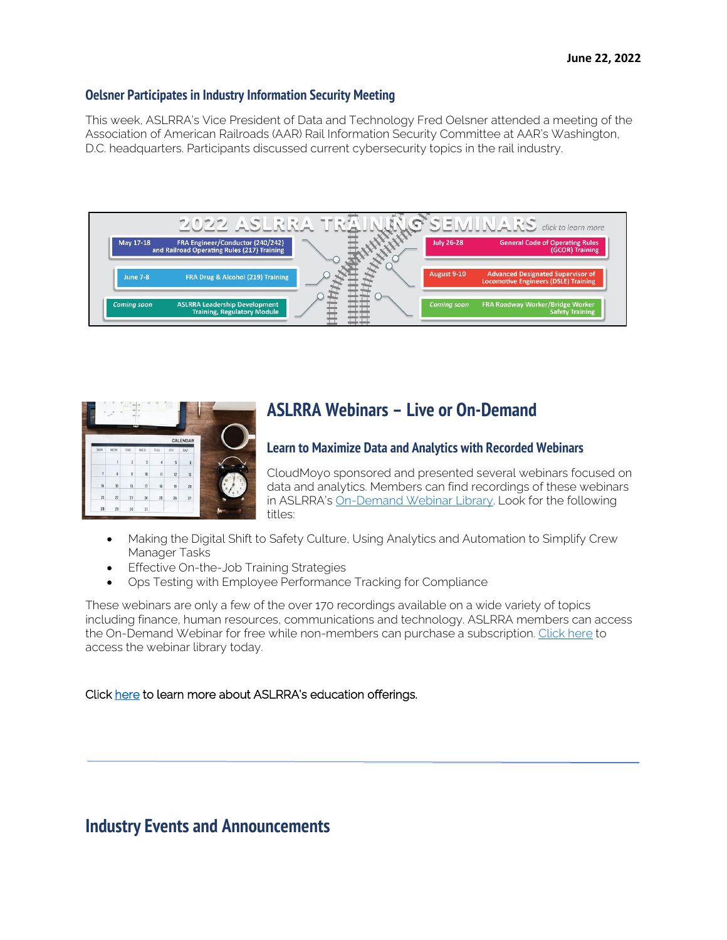### **Oelsner Participates in Industry Information Security Meeting**

This week, ASLRRA's Vice President of Data and Technology Fred Oelsner attended a meeting of the Association of American Railroads (AAR) Rail Information Security Committee at AAR's Washington, D.C. headquarters. Participants discussed current cybersecurity topics in the rail industry.



|        | CALENDAR |     |               |                         |                |                         |                |
|--------|----------|-----|---------------|-------------------------|----------------|-------------------------|----------------|
|        | SAT      | FRI | THU           | WED                     | TUE            | <b>MON</b>              | SUN            |
|        | 6        | 5   | 4             | $\overline{3}$          | $\overline{c}$ | 1                       |                |
|        | 13       | 12  | $\mathbf{11}$ | 10                      | $\overline{9}$ | $\overline{\mathbf{8}}$ | $\overline{1}$ |
| Q<br>Ŕ | 20       | 19  | 18            | $\overline{\mathbf{u}}$ | 16             | 15                      | 14             |
|        | 27       | 26  | 25            | 24                      | 23             | 22                      | 21             |
|        |          |     |               | 31                      | 30             | 29                      | 28             |

# **ASLRRA Webinars – Live or On-Demand**

# **Learn to Maximize Data and Analytics with Recorded Webinars**

CloudMoyo sponsored and presented several webinars focused on data and analytics. Members can find recordings of these webinars in ASLRRA's [On-Demand Webinar Library.](https://www.aslrra.org/education/webinars/) Look for the following titles:

- Making the Digital Shift to Safety Culture, Using Analytics and Automation to Simplify Crew Manager Tasks
- Effective On-the-Job Training Strategies
- Ops Testing with Employee Performance Tracking for Compliance

These webinars are only a few of the over 170 recordings available on a wide variety of topics including finance, human resources, communications and technology. ASLRRA members can access the On-Demand Webinar for free while non-members can purchase a subscription. [Click here](https://www.aslrra.org/education/webinars/) to access the webinar library today.

### Click [here](https://www.aslrra.org/education/education-offerings/) to learn more about ASLRRA's education offerings.

# **Industry Events and Announcements**